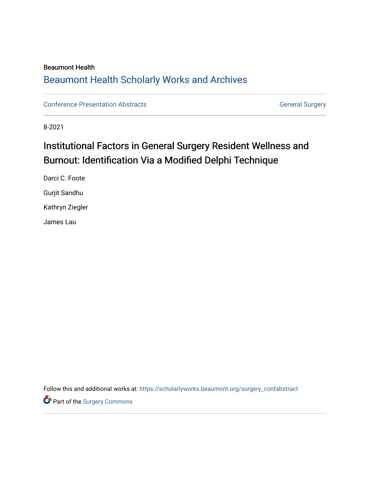## Beaumont Health [Beaumont Health Scholarly Works and Archives](https://scholarlyworks.beaumont.org/)

[Conference Presentation Abstracts](https://scholarlyworks.beaumont.org/surgery_confabstract) **General Surgery** General Surgery

8-2021

# Institutional Factors in General Surgery Resident Wellness and Burnout: Identification Via a Modified Delphi Technique

Darci C. Foote Gurjit Sandhu Kathryn Ziegler James Lau

Follow this and additional works at: [https://scholarlyworks.beaumont.org/surgery\\_confabstract](https://scholarlyworks.beaumont.org/surgery_confabstract?utm_source=scholarlyworks.beaumont.org%2Fsurgery_confabstract%2F18&utm_medium=PDF&utm_campaign=PDFCoverPages)

Part of the [Surgery Commons](http://network.bepress.com/hgg/discipline/706?utm_source=scholarlyworks.beaumont.org%2Fsurgery_confabstract%2F18&utm_medium=PDF&utm_campaign=PDFCoverPages)